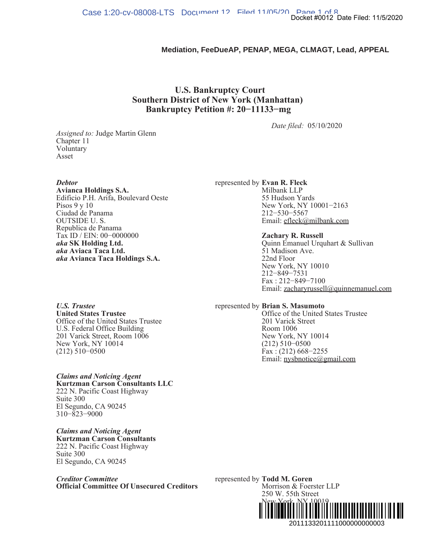## **Mediation, FeeDueAP, PENAP, MEGA, CLMAGT, Lead, APPEAL**

## **U.S. Bankruptcy Court Southern District of New York (Manhattan) Bankruptcy Petition #: 20−11133−mg**

*Date filed:* 05/10/2020

*Assigned to:* Judge Martin Glenn Chapter 11 Voluntary Asset

*Debtor*

**Avianca Holdings S.A.** Edificio P.H. Arifa, Boulevard Oeste Pisos 9 y 10 Ciudad de Panama OUTSIDE U. S. Republica de Panama Tax ID / EIN: 00−0000000 *aka* **SK Holding Ltd.** *aka* **Aviaca Taca Ltd.** *aka* **Avianca Taca Holdings S.A.**

represented by **Evan R. Fleck** Milbank LLP 55 Hudson Yards New York, NY 10001−2163 212−530−5567 Email: efleck@milbank.com

### **Zachary R. Russell**

Quinn Emanuel Urquhart & Sullivan 51 Madison Ave. 22nd Floor New York, NY 10010 212−849−7531 Fax : 212−849−7100 Email: zacharyrussell@quinnemanuel.com Docket #0012 Date Filed: 11/5/2020<br> **2014.**<br> **2014.**<br> **2014.**<br> **2014.**<br> **2014.**<br> **2015.**<br> **2015.**<br> **2015.**<br> **2015.**<br> **2015.**<br> **2015.**<br> **2014.**<br> **2014.**<br> **2015.**<br> **2014.**<br> **2014.**<br> **2015.**<br> **2014.**<br> **2015.**<br> **2015.**<br> **2014.** 

represented by **Brian S. Masumoto** Office of the United States Trustee

201 Varick Street Room 1006 New York, NY 10014 (212) 510−0500 Fax : (212) 668−2255 Email: nysbnotice@gmail.com

*U.S. Trustee* **United States Trustee** Office of the United States Trustee U.S. Federal Office Building 201 Varick Street, Room 1006 New York, NY 10014 (212) 510−0500

*Claims and Noticing Agent* **Kurtzman Carson Consultants LLC** 222 N. Pacific Coast Highway Suite 300 El Segundo, CA 90245 310−823−9000

*Claims and Noticing Agent* **Kurtzman Carson Consultants** 222 N. Pacific Coast Highway Suite 300 El Segundo, CA 90245

*Creditor Committee* **Official Committee Of Unsecured Creditors** represented by **Todd M. Goren** Morrison & Foerster LLP 250 W. 55th Street New York, NY 10019 (212) 336−4325 ¨2¤!+A4++ #B«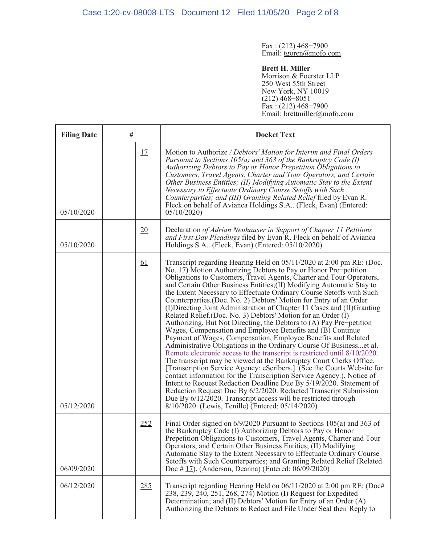Fax : (212) 468−7900 Email: tgoren@mofo.com

**Brett H. Miller** Morrison & Foerster LLP 250 West 55th Street New York, NY 10019 (212) 468−8051 Fax : (212) 468−7900 Email: brettmiller@mofo.com

| <b>Filing Date</b> | #         | <b>Docket Text</b>                                                                                                                                                                                                                                                                                                                                                                                                                                                                                                                                                                                                                                                                                                                                                                                                                                                                                                                                                                                                                                                                                                                                                                                                                                                                                                                                                                                                                        |
|--------------------|-----------|-------------------------------------------------------------------------------------------------------------------------------------------------------------------------------------------------------------------------------------------------------------------------------------------------------------------------------------------------------------------------------------------------------------------------------------------------------------------------------------------------------------------------------------------------------------------------------------------------------------------------------------------------------------------------------------------------------------------------------------------------------------------------------------------------------------------------------------------------------------------------------------------------------------------------------------------------------------------------------------------------------------------------------------------------------------------------------------------------------------------------------------------------------------------------------------------------------------------------------------------------------------------------------------------------------------------------------------------------------------------------------------------------------------------------------------------|
| 05/10/2020         | <u>17</u> | Motion to Authorize / Debtors' Motion for Interim and Final Orders<br>Pursuant to Sections $105(a)$ and 363 of the Bankruptcy Code (I)<br>Authorizing Debtors to Pay or Honor Prepetition Obligations to<br>Customers, Travel Agents, Charter and Tour Operators, and Certain<br>Other Business Entities; (II) Modifying Automatic Stay to the Extent<br>Necessary to Effectuate Ordinary Course Setoffs with Such<br>Counterparties; and (III) Granting Related Relief filed by Evan R.<br>Fleck on behalf of Avianca Holdings S.A., (Fleck, Evan) (Entered:<br>05/10/2020                                                                                                                                                                                                                                                                                                                                                                                                                                                                                                                                                                                                                                                                                                                                                                                                                                                               |
| 05/10/2020         | 20        | Declaration of Adrian Neuhauser in Support of Chapter 11 Petitions<br>and First Day Pleadings filed by Evan R. Fleck on behalf of Avianca<br>Holdings S.A (Fleck, Evan) (Entered: 05/10/2020)                                                                                                                                                                                                                                                                                                                                                                                                                                                                                                                                                                                                                                                                                                                                                                                                                                                                                                                                                                                                                                                                                                                                                                                                                                             |
| 05/12/2020         | <u>61</u> | Transcript regarding Hearing Held on 05/11/2020 at 2:00 pm RE: (Doc.<br>No. 17) Motion Authorizing Debtors to Pay or Honor Pre-petition<br>Obligations to Customers, Travel Agents, Charter and Tour Operators,<br>and Certain Other Business Entities;(II) Modifying Automatic Stay to<br>the Extent Necessary to Effectuate Ordinary Course Setoffs with Such<br>Counterparties.(Doc. No. 2) Debtors' Motion for Entry of an Order<br>(I) Directing Joint Administration of Chapter 11 Cases and (II) Granting<br>Related Relief. (Doc. No. 3) Debtors' Motion for an Order (I)<br>Authorizing, But Not Directing, the Debtors to (A) Pay Pre-petition<br>Wages, Compensation and Employee Benefits and (B) Continue<br>Payment of Wages, Compensation, Employee Benefits and Related<br>Administrative Obligations in the Ordinary Course Of Businesset al.<br>Remote electronic access to the transcript is restricted until 8/10/2020.<br>The transcript may be viewed at the Bankruptcy Court Clerks Office.<br>[Transcription Service Agency: eScribers.]. (See the Courts Website for<br>contact information for the Transcription Service Agency.). Notice of<br>Intent to Request Redaction Deadline Due By 5/19/2020. Statement of<br>Redaction Request Due By 6/2/2020. Redacted Transcript Submission<br>Due By 6/12/2020. Transcript access will be restricted through<br>8/10/2020. (Lewis, Tenille) (Entered: 05/14/2020) |
| 06/09/2020         | 252       | Final Order signed on 6/9/2020 Pursuant to Sections 105(a) and 363 of<br>the Bankruptcy Code (I) Authorizing Debtors to Pay or Honor<br>Prepetition Obligations to Customers, Travel Agents, Charter and Tour<br>Operators, and Certain Other Business Entities; (II) Modifying<br>Automatic Stay to the Extent Necessary to Effectuate Ordinary Course<br>Setoffs with Such Counterparties; and Granting Related Relief (Related<br>Doc # 17). (Anderson, Deanna) (Entered: $06/09/2020$ )                                                                                                                                                                                                                                                                                                                                                                                                                                                                                                                                                                                                                                                                                                                                                                                                                                                                                                                                               |
| 06/12/2020         | 285       | Transcript regarding Hearing Held on 06/11/2020 at 2:00 pm RE: (Doc#<br>238, 239, 240, 251, 268, 274) Motion (I) Request for Expedited<br>Determination; and (II) Debtors' Motion for Entry of an Order (A)<br>Authorizing the Debtors to Redact and File Under Seal their Reply to                                                                                                                                                                                                                                                                                                                                                                                                                                                                                                                                                                                                                                                                                                                                                                                                                                                                                                                                                                                                                                                                                                                                                       |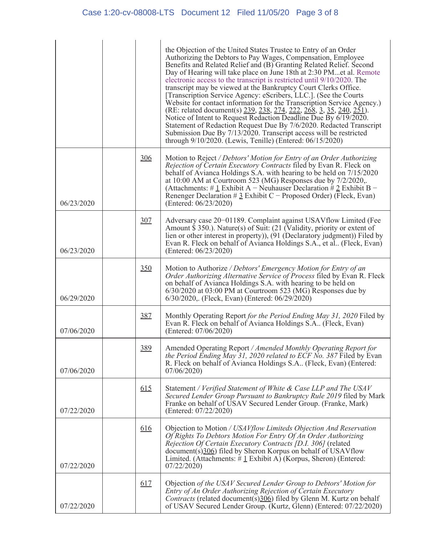|            |     | the Objection of the United States Trustee to Entry of an Order<br>Authorizing the Debtors to Pay Wages, Compensation, Employee<br>Benefits and Related Relief and (B) Granting Related Relief. Second<br>Day of Hearing will take place on June 18th at 2:30 PMet al. Remote<br>electronic access to the transcript is restricted until 9/10/2020. The<br>transcript may be viewed at the Bankruptcy Court Clerks Office.<br>[Transcription Service Agency: eScribers, LLC.]. (See the Courts<br>Website for contact information for the Transcription Service Agency.)<br>(RE: related document(s) 239, 238, 274, 222, 268, 3, 35, 240, 251).<br>Notice of Intent to Request Redaction Deadline Due By 6/19/2020.<br>Statement of Redaction Request Due By 7/6/2020. Redacted Transcript<br>Submission Due By 7/13/2020. Transcript access will be restricted<br>through 9/10/2020. (Lewis, Tenille) (Entered: 06/15/2020) |
|------------|-----|------------------------------------------------------------------------------------------------------------------------------------------------------------------------------------------------------------------------------------------------------------------------------------------------------------------------------------------------------------------------------------------------------------------------------------------------------------------------------------------------------------------------------------------------------------------------------------------------------------------------------------------------------------------------------------------------------------------------------------------------------------------------------------------------------------------------------------------------------------------------------------------------------------------------------|
| 06/23/2020 | 306 | Motion to Reject / Debtors' Motion for Entry of an Order Authorizing<br>Rejection of Certain Executory Contracts filed by Evan R. Fleck on<br>behalf of Avianca Holdings S.A. with hearing to be held on 7/15/2020<br>at $10:00$ AM at Courtroom 523 (MG) Responses due by $7/2/2020$ ,.<br>(Attachments: # $1$ Exhibit A – Neuhauser Declaration # $2$ Exhibit B –<br>Renenger Declaration # $\frac{3}{2}$ Exhibit C – Proposed Order) (Fleck, Evan)<br>(Entered: 06/23/2020)                                                                                                                                                                                                                                                                                                                                                                                                                                               |
| 06/23/2020 | 307 | Adversary case 20-01189. Complaint against USAV flow Limited (Fee<br>Amount $\frac{5}{3}$ 350.). Nature(s) of Suit: (21 (Validity, priority or extent of<br>lien or other interest in property)), (91 (Declaratory judgment)) Filed by<br>Evan R. Fleck on behalf of Avianca Holdings S.A., et al. (Fleck, Evan)<br>(Entered: 06/23/2020)                                                                                                                                                                                                                                                                                                                                                                                                                                                                                                                                                                                    |
| 06/29/2020 | 350 | Motion to Authorize / Debtors' Emergency Motion for Entry of an<br>Order Authorizing Alternative Service of Process filed by Evan R. Fleck<br>on behalf of Avianca Holdings S.A. with hearing to be held on<br>6/30/2020 at 03:00 PM at Courtroom 523 (MG) Responses due by<br>6/30/2020, (Fleck, Evan) (Entered: 06/29/2020)                                                                                                                                                                                                                                                                                                                                                                                                                                                                                                                                                                                                |
| 07/06/2020 | 387 | Monthly Operating Report for the Period Ending May 31, 2020 Filed by<br>Evan R. Fleck on behalf of Avianca Holdings S.A. (Fleck, Evan)<br>(Entered: 07/06/2020)                                                                                                                                                                                                                                                                                                                                                                                                                                                                                                                                                                                                                                                                                                                                                              |
| 07/06/2020 | 389 | Amended Operating Report / Amended Monthly Operating Report for<br>the Period Ending May 31, 2020 related to ECF No. 387 Filed by Evan<br>R. Fleck on behalf of Avianca Holdings S.A (Fleck, Evan) (Entered:<br>07/06/2020                                                                                                                                                                                                                                                                                                                                                                                                                                                                                                                                                                                                                                                                                                   |
| 07/22/2020 | 615 | Statement / Verified Statement of White & Case LLP and The USAV<br>Secured Lender Group Pursuant to Bankruptcy Rule 2019 filed by Mark<br>Franke on behalf of USAV Secured Lender Group. (Franke, Mark)<br>(Entered: 07/22/2020)                                                                                                                                                                                                                                                                                                                                                                                                                                                                                                                                                                                                                                                                                             |
| 07/22/2020 | 616 | Objection to Motion / USAV flow Limiteds Objection And Reservation<br>Of Rights To Debtors Motion For Entry Of An Order Authorizing<br>Rejection Of Certain Executory Contracts [D.I. 306] (related<br>document(s)306) filed by Sheron Korpus on behalf of USAVflow<br>Limited. (Attachments: $\#$ 1 Exhibit A) (Korpus, Sheron) (Entered:<br>07/22/2020                                                                                                                                                                                                                                                                                                                                                                                                                                                                                                                                                                     |
| 07/22/2020 | 617 | Objection of the USAV Secured Lender Group to Debtors' Motion for<br>Entry of An Order Authorizing Rejection of Certain Executory<br><i>Contracts</i> (related document( $\overline{s}$ ) $\frac{306}{6}$ ) filed by Glenn M. Kurtz on behalf<br>of USAV Secured Lender Group. (Kurtz, Glenn) (Entered: 07/22/2020)                                                                                                                                                                                                                                                                                                                                                                                                                                                                                                                                                                                                          |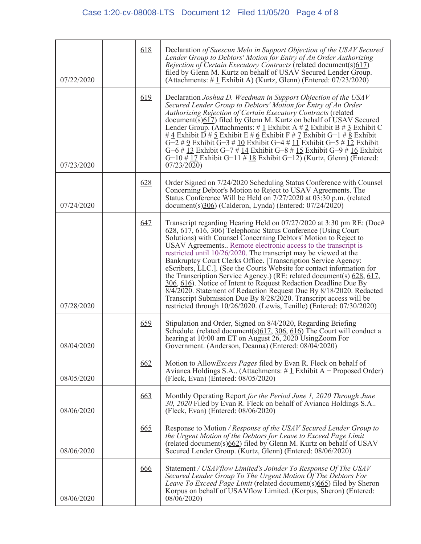| 07/22/2020 | 618 | Declaration of Suescun Melo in Support Objection of the USAV Secured<br>Lender Group to Debtors' Motion for Entry of An Order Authorizing<br>Rejection of Certain Executory Contracts (related document(s)617)<br>filed by Glenn M. Kurtz on behalf of USAV Secured Lender Group.<br>(Attachments: $\#$ 1 Exhibit A) (Kurtz, Glenn) (Entered: 07/23/2020)                                                                                                                                                                                                                                                                                                                                                                                                                                                                                                     |
|------------|-----|---------------------------------------------------------------------------------------------------------------------------------------------------------------------------------------------------------------------------------------------------------------------------------------------------------------------------------------------------------------------------------------------------------------------------------------------------------------------------------------------------------------------------------------------------------------------------------------------------------------------------------------------------------------------------------------------------------------------------------------------------------------------------------------------------------------------------------------------------------------|
| 07/23/2020 | 619 | Declaration Joshua D. Weedman in Support Objection of the USAV<br>Secured Lender Group to Debtors' Motion for Entry of An Order<br>Authorizing Rejection of Certain Executory Contracts (related<br>$document(s)617)$ filed by Glenn M. Kurtz on behalf of USAV Secured<br>Lender Group. (Attachments: # $1$ Exhibit A # $2$ Exhibit B # $3$ Exhibit C<br># $\frac{4}{5}$ Exhibit D # $\frac{5}{5}$ Exhibit E # $\frac{6}{5}$ Exhibit F # $\frac{7}{5}$ Exhibit G-1 # $\frac{8}{5}$ Exhibit<br>$G-2 \# 9$ Exhibit $G-3 \# 10$ Exhibit $G-4 \# 11$ Exhibit $G-5 \# 12$ Exhibit<br>$G-6 \# 13$ Exhibit $G-7 \# 14$ Exhibit $G-8 \# 15$ Exhibit $G-9 \# 16$ Exhibit<br>$G-10 \# 17$ Exhibit $G-11 \# 18$ Exhibit $G-12$ ) (Kurtz, Glenn) (Entered:<br>07/23/2020                                                                                                 |
| 07/24/2020 | 628 | Order Signed on 7/24/2020 Scheduling Status Conference with Counsel<br>Concerning Debtor's Motion to Reject to USAV Agreements. The<br>Status Conference Will be Held on 7/27/2020 at 03:30 p.m. (related<br>document(s) $\frac{306}{20}$ (Calderon, Lynda) (Entered: $\frac{07}{24}/\frac{20}{20}$ )                                                                                                                                                                                                                                                                                                                                                                                                                                                                                                                                                         |
| 07/28/2020 | 647 | Transcript regarding Hearing Held on 07/27/2020 at 3:30 pm RE: (Doc#<br>628, 617, 616, 306) Telephonic Status Conference (Using Court<br>Solutions) with Counsel Concerning Debtors' Motion to Reject to<br>USAV Agreements Remote electronic access to the transcript is<br>restricted until 10/26/2020. The transcript may be viewed at the<br>Bankruptcy Court Clerks Office. [Transcription Service Agency:<br>eScribers, LLC.]. (See the Courts Website for contact information for<br>the Transcription Service Agency.) (RE: related document(s) $628, 617$ ,<br>306, 616). Notice of Intent to Request Redaction Deadline Due By<br>8/4/2020. Statement of Redaction Request Due By 8/18/2020. Redacted<br>Transcript Submission Due By 8/28/2020. Transcript access will be<br>restricted through 10/26/2020. (Lewis, Tenille) (Entered: 07/30/2020) |
| 08/04/2020 | 659 | Stipulation and Order, Signed on 8/4/2020, Regarding Briefing<br>Schedule. (related document(s) $617, 306, 616$ ) The Court will conduct a<br>hearing at 10:00 am ET on August 26, 2020 UsingZoom For<br>Government. (Anderson, Deanna) (Entered: 08/04/2020)                                                                                                                                                                                                                                                                                                                                                                                                                                                                                                                                                                                                 |
| 08/05/2020 | 662 | Motion to Allow Excess Pages filed by Evan R. Fleck on behalf of<br>Avianca Holdings S.A (Attachments: $\#$ 1 Exhibit A – Proposed Order)<br>(Fleck, Evan) (Entered: 08/05/2020)                                                                                                                                                                                                                                                                                                                                                                                                                                                                                                                                                                                                                                                                              |
| 08/06/2020 | 663 | Monthly Operating Report for the Period June 1, 2020 Through June<br>30, 2020 Filed by Evan R. Fleck on behalf of Avianca Holdings S.A<br>(Fleck, Evan) (Entered: 08/06/2020)                                                                                                                                                                                                                                                                                                                                                                                                                                                                                                                                                                                                                                                                                 |
| 08/06/2020 | 665 | Response to Motion / Response of the USAV Secured Lender Group to<br>the Urgent Motion of the Debtors for Leave to Exceed Page Limit<br>(related document(s)662) filed by Glenn M. Kurtz on behalf of USAV<br>Secured Lender Group. (Kurtz, Glenn) (Entered: 08/06/2020)                                                                                                                                                                                                                                                                                                                                                                                                                                                                                                                                                                                      |
| 08/06/2020 | 666 | Statement / USAVflow Limited's Joinder To Response Of The USAV<br>Secured Lender Group To The Urgent Motion Of The Debtors For<br>Leave To Exceed Page Limit (related document(s)665) filed by Sheron<br>Korpus on behalf of USAVflow Limited. (Korpus, Sheron) (Entered:<br>$08/\overline{06}/2020$                                                                                                                                                                                                                                                                                                                                                                                                                                                                                                                                                          |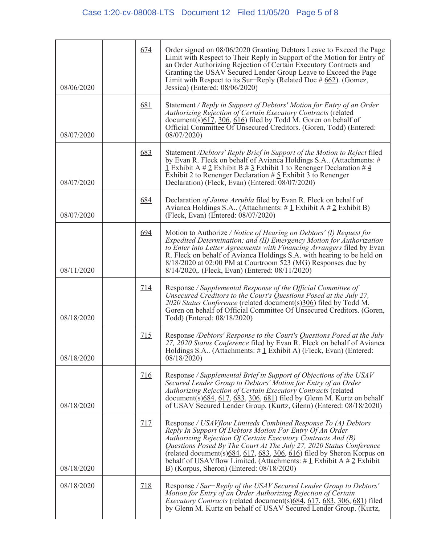| 08/06/2020 | 674        | Order signed on 08/06/2020 Granting Debtors Leave to Exceed the Page<br>Limit with Respect to Their Reply in Support of the Motion for Entry of<br>an Order Authorizing Rejection of Certain Executory Contracts and<br>Granting the USAV Secured Lender Group Leave to Exceed the Page<br>Limit with Respect to its Sur-Reply (Related Doc $#662$ ). (Gomez,<br>Jessica) (Entered: 08/06/2020)                                                                                        |
|------------|------------|----------------------------------------------------------------------------------------------------------------------------------------------------------------------------------------------------------------------------------------------------------------------------------------------------------------------------------------------------------------------------------------------------------------------------------------------------------------------------------------|
| 08/07/2020 | 681        | Statement / Reply in Support of Debtors' Motion for Entry of an Order<br>Authorizing Rejection of Certain Executory Contracts (related<br>document(s) $617$ , $306$ , $616$ ) filed by Todd M. Goren on behalf of<br>Official Committee Of Unsecured Creditors. (Goren, Todd) (Entered:<br>08/07/2020)                                                                                                                                                                                 |
| 08/07/2020 | 683        | Statement /Debtors' Reply Brief in Support of the Motion to Reject filed<br>by Evan R. Fleck on behalf of Avianca Holdings S.A (Attachments: #<br>$\frac{1}{2}$ Exhibit A # 2 Exhibit B # 3 Exhibit 1 to Renenger Declaration # 4<br>Exhibit 2 to Renenger Declaration $\# 5$ Exhibit 3 to Renenger<br>Declaration) (Fleck, Evan) (Entered: 08/07/2020)                                                                                                                                |
| 08/07/2020 | 684        | Declaration of Jaime Arrubla filed by Evan R. Fleck on behalf of<br>Avianca Holdings S.A (Attachments: $\#$ 1 Exhibit A $\#$ 2 Exhibit B)<br>(Fleck, Evan) (Entered: 08/07/2020)                                                                                                                                                                                                                                                                                                       |
| 08/11/2020 | 694        | Motion to Authorize / Notice of Hearing on Debtors' (I) Request for<br>Expedited Determination; and (II) Emergency Motion for Authorization<br>to Enter into Letter Agreements with Financing Arrangers filed by Evan<br>R. Fleck on behalf of Avianca Holdings S.A. with hearing to be held on<br>8/18/2020 at 02:00 PM at Courtroom 523 (MG) Responses due by<br>8/14/2020, (Fleck, Evan) (Entered: 08/11/2020)                                                                      |
| 08/18/2020 | 714        | Response / Supplemental Response of the Official Committee of<br>Unsecured Creditors to the Court's Questions Posed at the July 27,<br>2020 Status Conference (related document(s)306) filed by Todd M.<br>Goren on behalf of Official Committee Of Unsecured Creditors. (Goren,<br>Todd) (Entered: 08/18/2020)                                                                                                                                                                        |
| 08/18/2020 | <u>715</u> | Response /Debtors' Response to the Court's Questions Posed at the July<br>27, 2020 Status Conference filed by Evan R. Fleck on behalf of Avianca<br>Holdings S.A (Attachments: $\# \mathbf{1}$ Exhibit A) (Fleck, Evan) (Entered:<br>08/18/2020                                                                                                                                                                                                                                        |
| 08/18/2020 | 716        | Response / Supplemental Brief in Support of Objections of the USAV<br>Secured Lender Group to Debtors' Motion for Entry of an Order<br>Authorizing Rejection of Certain Executory Contracts (related<br>document( $\frac{s}{684}$ , 617, 683, 306, 681) filed by Glenn M. Kurtz on behalf<br>of USAV Secured Lender Group. (Kurtz, Glenn) (Entered: 08/18/2020)                                                                                                                        |
| 08/18/2020 | 717        | Response / USAV flow Limiteds Combined Response To (A) Debtors<br>Reply In Support Of Debtors Motion For Entry Of An Order<br>Authorizing Rejection Of Certain Executory Contracts And (B)<br>Questions Posed By The Court At The July 27, 2020 Status Conference<br>(related document(s) $684$ , $617$ , $683$ , $306$ , $616$ ) filed by Sheron Korpus on<br>behalf of USAV flow Limited. (Attachments: $\#$ 1 Exhibit A $\#$ 2 Exhibit<br>B) (Korpus, Sheron) (Entered: 08/18/2020) |
| 08/18/2020 | <u>718</u> | Response / Sur-Reply of the USAV Secured Lender Group to Debtors'<br>Motion for Entry of an Order Authorizing Rejection of Certain<br><i>Executory Contracts</i> (related document(s)684, 617, 683, 306, 681) filed<br>by Glenn M. Kurtz on behalf of USAV Secured Lender Group. (Kurtz,                                                                                                                                                                                               |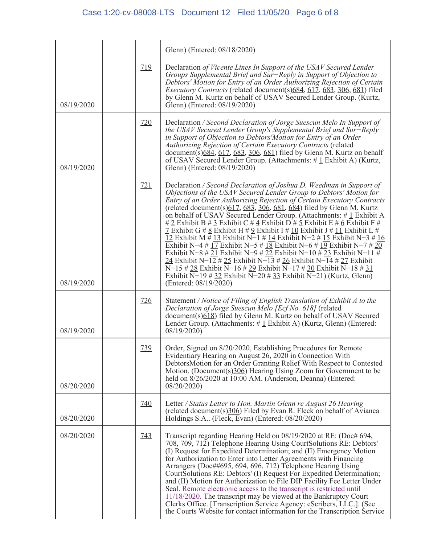# Case 1:20-cv-08008-LTS Document 12 Filed 11/05/20 Page 6 of 8

|            |            | Glenn) (Entered: 08/18/2020)                                                                                                                                                                                                                                                                                                                                                                                                                                                                                                                                                                                                                                                                                                                                                                                                                                                                                                                                                                                                                                  |
|------------|------------|---------------------------------------------------------------------------------------------------------------------------------------------------------------------------------------------------------------------------------------------------------------------------------------------------------------------------------------------------------------------------------------------------------------------------------------------------------------------------------------------------------------------------------------------------------------------------------------------------------------------------------------------------------------------------------------------------------------------------------------------------------------------------------------------------------------------------------------------------------------------------------------------------------------------------------------------------------------------------------------------------------------------------------------------------------------|
| 08/19/2020 | 719        | Declaration of Vicente Lines In Support of the USAV Secured Lender<br>Groups Supplemental Brief and Sur-Reply in Support of Objection to<br>Debtors' Motion for Entry of an Order Authorizing Rejection of Certain<br><i>Executory Contracts</i> (related document(s) $684, 617, 683, 306, 681$ ) filed<br>by Glenn M. Kurtz on behalf of USAV Secured Lender Group. (Kurtz,<br>Glenn) (Entered: 08/19/2020)                                                                                                                                                                                                                                                                                                                                                                                                                                                                                                                                                                                                                                                  |
| 08/19/2020 | 720        | Declaration / Second Declaration of Jorge Suescun Melo In Support of<br>the USAV Secured Lender Group's Supplemental Brief and Sur-Reply<br>in Support of Objection to Debtors' Motion for Entry of an Order<br>Authorizing Rejection of Certain Executory Contracts (related<br>document( $\overline{s}$ ) $\overline{684}$ , $\overline{617}$ , $\overline{683}$ , $\overline{306}$ , $\overline{681}$ ) filed by Glenn M. Kurtz on behalf<br>of USAV Secured Lender Group. (Attachments: #1 Exhibit A) (Kurtz,<br>Glenn) (Entered: 08/19/2020)                                                                                                                                                                                                                                                                                                                                                                                                                                                                                                             |
| 08/19/2020 | 721        | Declaration / Second Declaration of Joshua D. Weedman in Support of<br>Objections of the USAV Secured Lender Group to Debtors' Motion for<br>Entry of an Order Authorizing Rejection of Certain Executory Contracts<br>(related document(s) $617, 683, 306, 681, 684$ ) filed by Glenn M. Kurtz<br>on behalf of USAV Secured Lender Group. (Attachments: $\# \mathbf{1}$ Exhibit A<br># 2 Exhibit B # 3 Exhibit C # 4 Exhibit D # 5 Exhibit E # 6 Exhibit F #<br>$\frac{7}{4}$ Exhibit G # $\frac{8}{5}$ Exhibit H # $\frac{9}{5}$ Exhibit I # $\frac{10}{5}$ Exhibit J # $\frac{11}{5}$ Exhibit L #<br>12 Exhibit M # 13 Exhibit N-1 # 14 Exhibit N-2 # 15 Exhibit N-3 # 16<br>Exhibit N-4 # 17 Exhibit N-5 # 18 Exhibit N-6 # 19 Exhibit N-7 # 20<br>Exhibit N-8 # 21 Exhibit N-9 # 22 Exhibit N-10 # 23 Exhibit N-11 #<br>24 Exhibit N-12 # 25 Exhibit N-13 # 26 Exhibit N-14 # 27 Exhibit<br>N-15 # 28 Exhibit N-16 # 29 Exhibit N-17 # 30 Exhibit N-18 # 31<br>Exhibit N-19 # 32 Exhibit N-20 # 33 Exhibit N-21) (Kurtz, Glenn)<br>(Entered: 08/19/2020) |
| 08/19/2020 | <u>726</u> | Statement / Notice of Filing of English Translation of Exhibit A to the<br>Declaration of Jorge Suescun Melo [Ecf No. 618] (related<br>$document(s)618)$ filed by Glenn M. Kurtz on behalf of USAV Secured<br>Lender Group. (Attachments: $\#$ 1 Exhibit A) (Kurtz, Glenn) (Entered:<br>08/19/2020                                                                                                                                                                                                                                                                                                                                                                                                                                                                                                                                                                                                                                                                                                                                                            |
| 08/20/2020 | <u>739</u> | Order, Signed on 8/20/2020, Establishing Procedures for Remote<br>Evidentiary Hearing on August 26, 2020 in Connection With<br>Debtors Motion for an Order Granting Relief With Respect to Contested<br>Motion. (Document(s)306) Hearing Using Zoom for Government to be<br>held on 8/26/2020 at 10:00 AM. (Anderson, Deanna) (Entered:<br>08/20/2020                                                                                                                                                                                                                                                                                                                                                                                                                                                                                                                                                                                                                                                                                                         |
| 08/20/2020 | <u>740</u> | Letter / Status Letter to Hon. Martin Glenn re August 26 Hearing<br>(related document(s)306) Filed by Evan R. Fleck on behalf of Avianca<br>Holdings S.A (Fleck, Evan) (Entered: 08/20/2020)                                                                                                                                                                                                                                                                                                                                                                                                                                                                                                                                                                                                                                                                                                                                                                                                                                                                  |
| 08/20/2020 | <u>743</u> | Transcript regarding Hearing Held on 08/19/2020 at RE: (Doc# 694,<br>708, 709, 712) Telephone Hearing Using CourtSolutions RE: Debtors'<br>(I) Request for Expedited Determination; and (II) Emergency Motion<br>for Authorization to Enter into Letter Agreements with Financing<br>Arrangers (Doc##695, 694, 696, 712) Telephone Hearing Using<br>CourtSolutions RE: Debtors' (I) Request For Expedited Determination;<br>and (II) Motion for Authorization to File DIP Facility Fee Letter Under<br>Seal. Remote electronic access to the transcript is restricted until<br>11/18/2020. The transcript may be viewed at the Bankruptcy Court<br>Clerks Office. [Transcription Service Agency: eScribers, LLC.]. (See<br>the Courts Website for contact information for the Transcription Service                                                                                                                                                                                                                                                           |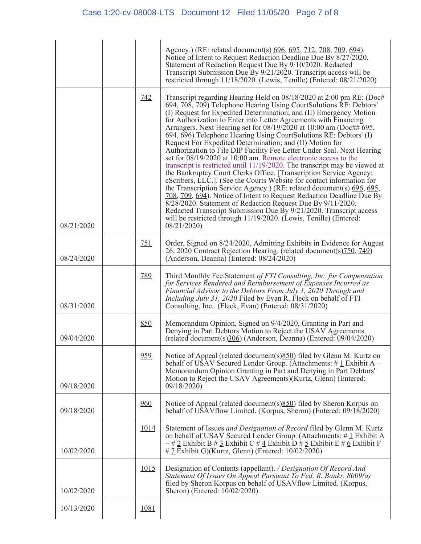|            |             | Agency.) (RE: related document(s) 696, 695, 712, 708, 709, 694).<br>Notice of Intent to Request Redaction Deadline Due By 8/27/2020.<br>Statement of Redaction Request Due By 9/10/2020. Redacted<br>Transcript Submission Due By 9/21/2020. Transcript access will be<br>restricted through 11/18/2020. (Lewis, Tenille) (Entered: 08/21/2020)                                                                                                                                                                                                                                                                                                                                                                                                                                                                                                                                                                                                                                                                                                                                                                                                                                                                                                     |
|------------|-------------|-----------------------------------------------------------------------------------------------------------------------------------------------------------------------------------------------------------------------------------------------------------------------------------------------------------------------------------------------------------------------------------------------------------------------------------------------------------------------------------------------------------------------------------------------------------------------------------------------------------------------------------------------------------------------------------------------------------------------------------------------------------------------------------------------------------------------------------------------------------------------------------------------------------------------------------------------------------------------------------------------------------------------------------------------------------------------------------------------------------------------------------------------------------------------------------------------------------------------------------------------------|
| 08/21/2020 | 742         | Transcript regarding Hearing Held on 08/18/2020 at 2:00 pm RE: (Doc#<br>694, 708, 709) Telephone Hearing Using CourtSolutions RE: Debtors'<br>(I) Request for Expedited Determination; and (II) Emergency Motion<br>for Authorization to Enter into Letter Agreements with Financing<br>Arrangers. Next Hearing set for $08/19/2020$ at $10:00$ am (Doc## 695,<br>694, 696) Telephone Hearing Using CourtSolutions RE: Debtors' (I)<br>Request For Expedited Determination; and (II) Motion for<br>Authorization to File DIP Facility Fee Letter Under Seal. Next Hearing<br>set for 08/19/2020 at 10:00 am. Remote electronic access to the<br>transcript is restricted until 11/19/2020. The transcript may be viewed at<br>the Bankruptcy Court Clerks Office. [Transcription Service Agency:<br>eScribers, LLC.]. (See the Courts Website for contact information for<br>the Transcription Service Agency.) (RE: related document(s) 696, 695,<br>708, 709, 694). Notice of Intent to Request Redaction Deadline Due By<br>8/28/2020. Statement of Redaction Request Due By 9/11/2020.<br>Redacted Transcript Submission Due By 9/21/2020. Transcript access<br>will be restricted through 11/19/2020. (Lewis, Tenille) (Entered:<br>08/21/2020 |
| 08/24/2020 | 751         | Order, Signed on 8/24/2020, Admitting Exhibits in Evidence for August<br>26, 2020 Contract Rejection Hearing. (related document(s) 750, 749)<br>(Anderson, Deanna) (Entered: 08/24/2020)                                                                                                                                                                                                                                                                                                                                                                                                                                                                                                                                                                                                                                                                                                                                                                                                                                                                                                                                                                                                                                                            |
| 08/31/2020 | 789         | Third Monthly Fee Statement of FTI Consulting, Inc. for Compensation<br>for Services Rendered and Reimbursement of Expenses Incurred as<br>Financial Advisor to the Debtors From July 1, 2020 Through and<br><i>Including July 31, 2020</i> Filed by Evan R. Fleck on behalf of FTI<br>Consulting, Inc. (Fleck, Evan) (Entered: 08/31/2020)                                                                                                                                                                                                                                                                                                                                                                                                                                                                                                                                                                                                                                                                                                                                                                                                                                                                                                         |
| 09/04/2020 | 850         | Memorandum Opinion, Signed on 9/4/2020, Granting in Part and<br>Denying in Part Debtors Motion to Reject the USAV Agreements.<br>(related document(s)306) (Anderson, Deanna) (Entered: 09/04/2020)                                                                                                                                                                                                                                                                                                                                                                                                                                                                                                                                                                                                                                                                                                                                                                                                                                                                                                                                                                                                                                                  |
| 09/18/2020 | 959         | Notice of Appeal (related document(s)850) filed by Glenn M. Kurtz on<br>behalf of USAV Secured Lender Group. (Attachments: $\#$ 1 Exhibit A –<br>Memorandum Opinion Granting in Part and Denying in Part Debtors'<br>Motion to Reject the USAV Agreements) (Kurtz, Glenn) (Entered:<br>09/18/2020                                                                                                                                                                                                                                                                                                                                                                                                                                                                                                                                                                                                                                                                                                                                                                                                                                                                                                                                                   |
| 09/18/2020 | 960         | Notice of Appeal (related document(s) 850) filed by Sheron Korpus on<br>behalf of USAV flow Limited. (Korpus, Sheron) (Entered: 09/18/2020)                                                                                                                                                                                                                                                                                                                                                                                                                                                                                                                                                                                                                                                                                                                                                                                                                                                                                                                                                                                                                                                                                                         |
| 10/02/2020 | <u>1014</u> | Statement of Issues and Designation of Record filed by Glenn M. Kurtz<br>on behalf of USAV Secured Lender Group. (Attachments: #1 Exhibit A<br>$-$ # 2 Exhibit B # 3 Exhibit C # 4 Exhibit D # 5 Exhibit E # 6 Exhibit F<br>$\#$ Z Exhibit G)(Kurtz, Glenn) (Entered: 10/02/2020)                                                                                                                                                                                                                                                                                                                                                                                                                                                                                                                                                                                                                                                                                                                                                                                                                                                                                                                                                                   |
| 10/02/2020 | 1015        | Designation of Contents (appellant). / Designation Of Record And<br>Statement Of Issues On Appeal Pursuant To Fed. R. Bankr. 8009(a)<br>filed by Sheron Korpus on behalf of USAV flow Limited. (Korpus,<br>Sheron) (Entered: $10/02/2020$ )                                                                                                                                                                                                                                                                                                                                                                                                                                                                                                                                                                                                                                                                                                                                                                                                                                                                                                                                                                                                         |
| 10/13/2020 | 1081        |                                                                                                                                                                                                                                                                                                                                                                                                                                                                                                                                                                                                                                                                                                                                                                                                                                                                                                                                                                                                                                                                                                                                                                                                                                                     |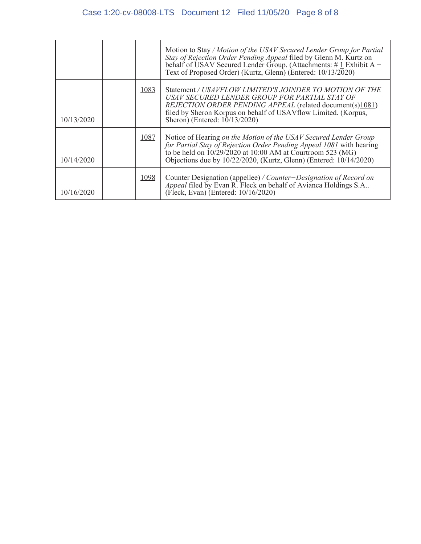|            |      | Motion to Stay / Motion of the USAV Secured Lender Group for Partial<br>Stay of Rejection Order Pending Appeal filed by Glenn M. Kurtz on<br>behalf of USAV Secured Lender Group. (Attachments: $\#$ 1 Exhibit A –<br>Text of Proposed Order) (Kurtz, Glenn) (Entered: 10/13/2020) |
|------------|------|------------------------------------------------------------------------------------------------------------------------------------------------------------------------------------------------------------------------------------------------------------------------------------|
| 10/13/2020 | 1083 | Statement / USAVFLOW LIMITED'S JOINDER TO MOTION OF THE<br>USAV SECURED LENDER GROUP FOR PARTIAL STAY OF<br>REJECTION ORDER PENDING APPEAL (related document(s)1081)<br>filed by Sheron Korpus on behalf of USAV flow Limited. (Korpus,<br>Sheron) (Entered: $10/13/2020$ )        |
| 10/14/2020 | 1087 | Notice of Hearing on the Motion of the USAV Secured Lender Group<br>for Partial Stay of Rejection Order Pending Appeal 1081 with hearing<br>to be held on $10/29/2020$ at 10:00 AM at Courtroom 523 (MG)<br>Objections due by 10/22/2020, (Kurtz, Glenn) (Entered: 10/14/2020)     |
| 10/16/2020 | 1098 | Counter Designation (appellee) / Counter-Designation of Record on<br>Appeal filed by Evan R. Fleck on behalf of Avianca Holdings S.A<br>(Fleck, Evan) (Entered: 10/16/2020)                                                                                                        |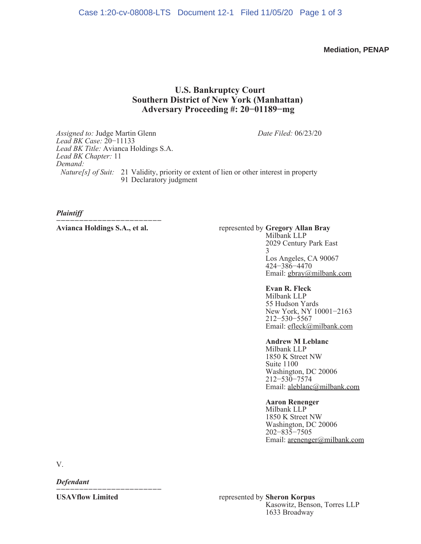**Mediation, PENAP**

# **U.S. Bankruptcy Court Southern District of New York (Manhattan) Adversary Proceeding #: 20−01189−mg**

*Assigned to:* Judge Martin Glenn *Lead BK Case:* 20−11133 *Lead BK Title:* Avianca Holdings S.A. *Lead BK Chapter:* 11 *Demand: Date Filed:* 06/23/20 *Nature[s] of Suit:* 21 Validity, priority or extent of lien or other interest in property 91 Declaratory judgment

*Plaintiff*

*−−−−−−−−−−−−−−−−−−−−−−−*

#### **Avianca Holdings S.A., et al.** represented by **Gregory Allan Bray** Milbank LLP 2029 Century Park East 3 Los Angeles, CA 90067 424−386−4470

Email: gbray@milbank.com

### **Evan R. Fleck**

Milbank LLP 55 Hudson Yards New York, NY 10001−2163 212−530−5567 Email: efleck@milbank.com

## **Andrew M Leblanc**

Milbank LLP 1850 K Street NW Suite 1100 Washington, DC 20006 212−530−7574 Email: aleblanc@milbank.com

### **Aaron Renenger**

Milbank LLP 1850 K Street NW Washington, DC 20006 202−835−7505 Email: arenenger@milbank.com

V.

*Defendant*

*−−−−−−−−−−−−−−−−−−−−−−−−−−−−* 

**USAVflow Limited** represented by **Sheron Korpus** Kasowitz, Benson, Torres LLP 1633 Broadway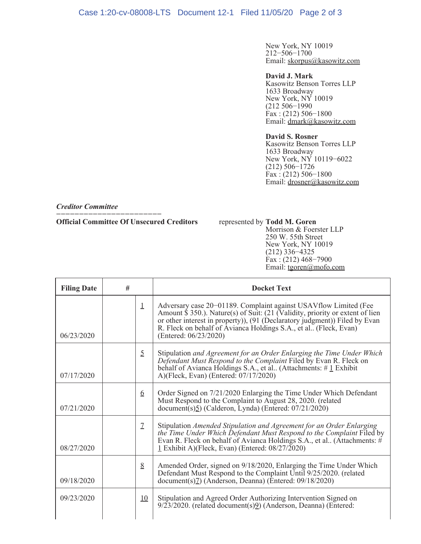New York, NY 10019 212−506−1700 Email: skorpus@kasowitz.com

## **David J. Mark**

Kasowitz Benson Torres LLP 1633 Broadway New York, NY 10019 (212 506−1990  $\text{Fax}$  : (212) 506–1800 Email: dmark@kasowitz.com

## **David S. Rosner**

Kasowitz Benson Torres LLP 1633 Broadway New York, NY 10119−6022 (212) 506−1726 Fax : (212) 506−1800 Email: drosner@kasowitz.com

*Creditor Committee*

#### *−−−−−−−−−−−−−−−−−−−−−−−−−−−−* **Official Committee Of Unsecured Creditors** represented by **Todd M. Goren**

## Morrison & Foerster LLP 250 W. 55th Street New York, NY 10019 (212) 336−4325 Fax : (212) 468−7900 Email: tgoren@mofo.com

| <b>Filing Date</b> | #              | <b>Docket Text</b>                                                                                                                                                                                                                                                                                                                 |
|--------------------|----------------|------------------------------------------------------------------------------------------------------------------------------------------------------------------------------------------------------------------------------------------------------------------------------------------------------------------------------------|
| 06/23/2020         | $\perp$        | Adversary case 20-01189. Complaint against USAV flow Limited (Fee<br>Amount $\$ 350$ .). Nature(s) of Suit: (21 (Validity, priority or extent of lien<br>or other interest in property)), (91 (Declaratory judgment)) Filed by Evan<br>R. Fleck on behalf of Avianca Holdings S.A., et al., (Fleck, Evan)<br>(Entered: 06/23/2020) |
| 07/17/2020         | $\overline{2}$ | Stipulation and Agreement for an Order Enlarging the Time Under Which<br>Defendant Must Respond to the Complaint Filed by Evan R. Fleck on<br>behalf of Avianca Holdings S.A., et al. (Attachments: $\# \mathbf{1}$ Exhibit<br>A)(Fleck, Evan) (Entered: 07/17/2020)                                                               |
| 07/21/2020         | 6              | Order Signed on 7/21/2020 Enlarging the Time Under Which Defendant<br>Must Respond to the Complaint to August 28, 2020. (related<br>$document(s)5)$ (Calderon, Lynda) (Entered: 07/21/2020)                                                                                                                                        |
| 08/27/2020         | $\mathcal{I}$  | Stipulation Amended Stipulation and Agreement for an Order Enlarging<br>the Time Under Which Defendant Must Respond to the Complaint Filed by<br>Evan R. Fleck on behalf of Avianca Holdings S.A., et al. (Attachments: $\ddot{\#}$<br>1 Exhibit A)(Fleck, Evan) (Entered: 08/27/2020)                                             |
| 09/18/2020         | 8              | Amended Order, signed on 9/18/2020, Enlarging the Time Under Which<br>Defendant Must Respond to the Complaint Until 9/25/2020. (related<br>document(s) <sub>Z</sub> ) (Anderson, Deanna) (Entered: 09/18/2020)                                                                                                                     |
| 09/23/2020         | 10             | Stipulation and Agreed Order Authorizing Intervention Signed on<br>9/23/2020. (related document(s)9) (Anderson, Deanna) (Entered:                                                                                                                                                                                                  |